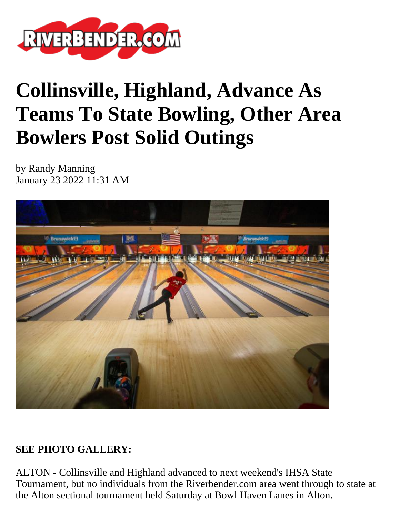

## **Collinsville, Highland, Advance As Teams To State Bowling, Other Area Bowlers Post Solid Outings**

by Randy Manning January 23 2022 11:31 AM



## **SEE PHOTO GALLERY:**

ALTON - Collinsville and Highland advanced to next weekend's IHSA State Tournament, but no individuals from the Riverbender.com area went through to state at the Alton sectional tournament held Saturday at Bowl Haven Lanes in Alton.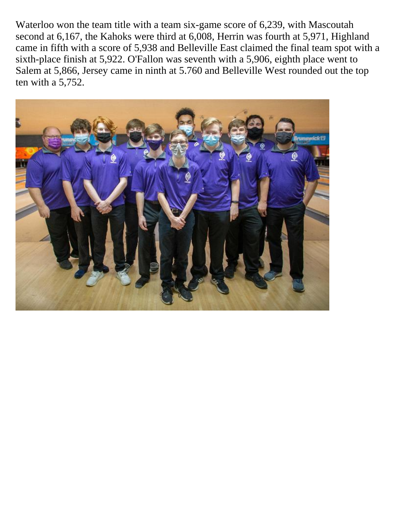Waterloo won the team title with a team six-game score of 6,239, with Mascoutah second at 6,167, the Kahoks were third at 6,008, Herrin was fourth at 5,971, Highland came in fifth with a score of 5,938 and Belleville East claimed the final team spot with a sixth-place finish at 5,922. O'Fallon was seventh with a 5,906, eighth place went to Salem at 5,866, Jersey came in ninth at 5.760 and Belleville West rounded out the top ten with a 5,752.

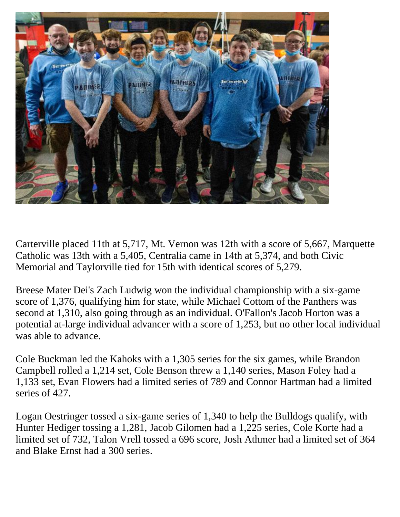

Carterville placed 11th at 5,717, Mt. Vernon was 12th with a score of 5,667, Marquette Catholic was 13th with a 5,405, Centralia came in 14th at 5,374, and both Civic Memorial and Taylorville tied for 15th with identical scores of 5,279.

Breese Mater Dei's Zach Ludwig won the individual championship with a six-game score of 1,376, qualifying him for state, while Michael Cottom of the Panthers was second at 1,310, also going through as an individual. O'Fallon's Jacob Horton was a potential at-large individual advancer with a score of 1,253, but no other local individual was able to advance.

Cole Buckman led the Kahoks with a 1,305 series for the six games, while Brandon Campbell rolled a 1,214 set, Cole Benson threw a 1,140 series, Mason Foley had a 1,133 set, Evan Flowers had a limited series of 789 and Connor Hartman had a limited series of 427.

Logan Oestringer tossed a six-game series of 1,340 to help the Bulldogs qualify, with Hunter Hediger tossing a 1,281, Jacob Gilomen had a 1,225 series, Cole Korte had a limited set of 732, Talon Vrell tossed a 696 score, Josh Athmer had a limited set of 364 and Blake Ernst had a 300 series.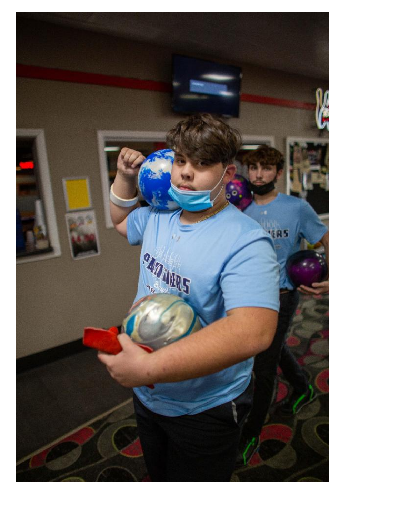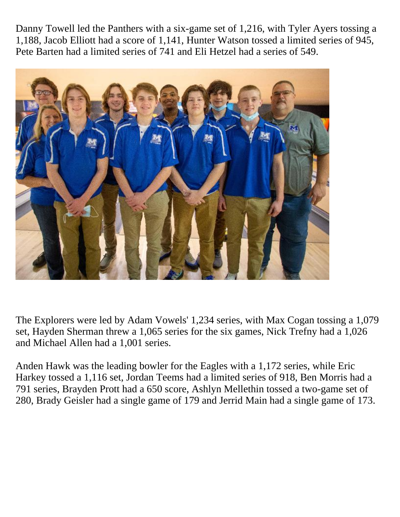Danny Towell led the Panthers with a six-game set of 1,216, with Tyler Ayers tossing a 1,188, Jacob Elliott had a score of 1,141, Hunter Watson tossed a limited series of 945, Pete Barten had a limited series of 741 and Eli Hetzel had a series of 549.



The Explorers were led by Adam Vowels' 1,234 series, with Max Cogan tossing a 1,079 set, Hayden Sherman threw a 1,065 series for the six games, Nick Trefny had a 1,026 and Michael Allen had a 1,001 series.

Anden Hawk was the leading bowler for the Eagles with a 1,172 series, while Eric Harkey tossed a 1,116 set, Jordan Teems had a limited series of 918, Ben Morris had a 791 series, Brayden Prott had a 650 score, Ashlyn Mellethin tossed a two-game set of 280, Brady Geisler had a single game of 179 and Jerrid Main had a single game of 173.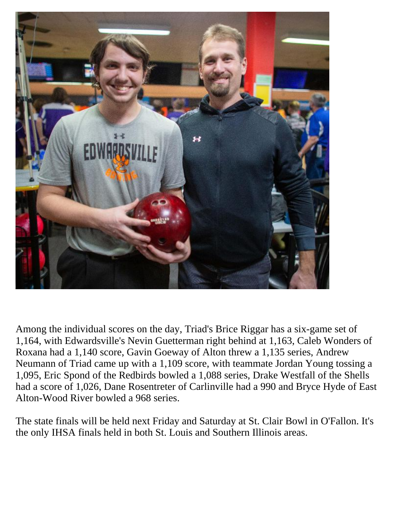

Among the individual scores on the day, Triad's Brice Riggar has a six-game set of 1,164, with Edwardsville's Nevin Guetterman right behind at 1,163, Caleb Wonders of Roxana had a 1,140 score, Gavin Goeway of Alton threw a 1,135 series, Andrew Neumann of Triad came up with a 1,109 score, with teammate Jordan Young tossing a 1,095, Eric Spond of the Redbirds bowled a 1,088 series, Drake Westfall of the Shells had a score of 1,026, Dane Rosentreter of Carlinville had a 990 and Bryce Hyde of East Alton-Wood River bowled a 968 series.

The state finals will be held next Friday and Saturday at St. Clair Bowl in O'Fallon. It's the only IHSA finals held in both St. Louis and Southern Illinois areas.